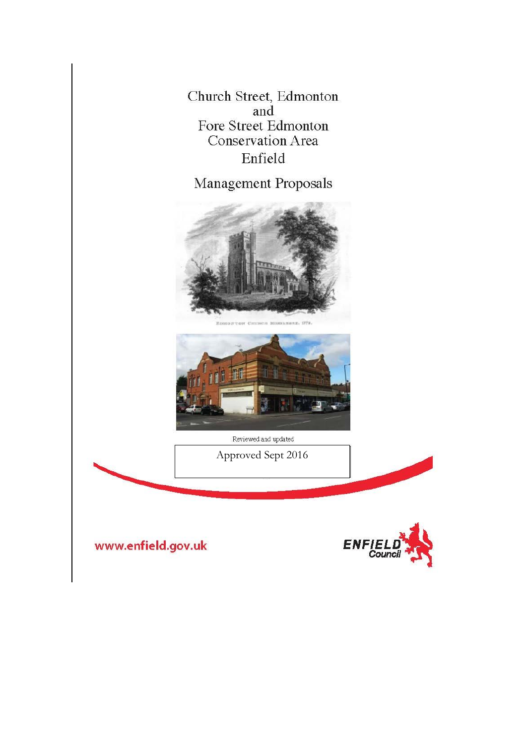Church Street, Edmonton and Fore Street Edmonton **Conservation Area** Enfield

Management Proposals







Reviewed and updated

Approved Sept 2016

www.enfield.gov.uk

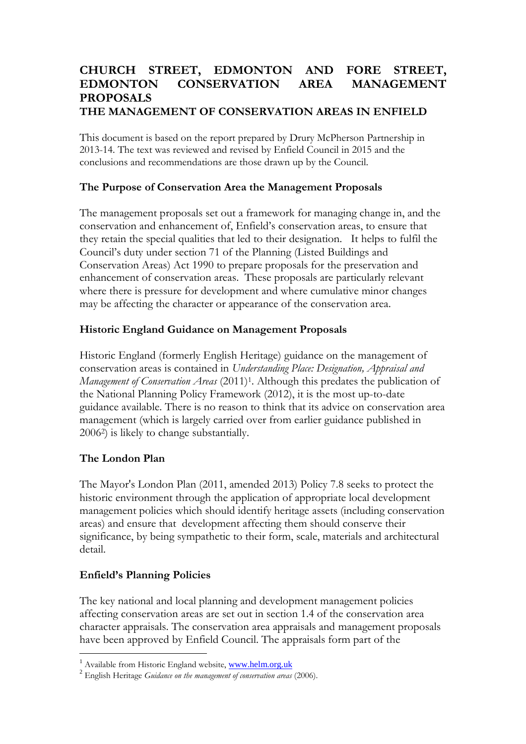## **CHURCH STREET, EDMONTON AND FORE STREET, EDMONTON CONSERVATION AREA MANAGEMENT PROPOSALS THE MANAGEMENT OF CONSERVATION AREAS IN ENFIELD**

This document is based on the report prepared by Drury McPherson Partnership in 2013-14. The text was reviewed and revised by Enfield Council in 2015 and the conclusions and recommendations are those drawn up by the Council.

## **The Purpose of Conservation Area the Management Proposals**

The management proposals set out a framework for managing change in, and the conservation and enhancement of, Enfield's conservation areas, to ensure that they retain the special qualities that led to their designation. It helps to fulfil the Council's duty under section 71 of the Planning (Listed Buildings and Conservation Areas) Act 1990 to prepare proposals for the preservation and enhancement of conservation areas. These proposals are particularly relevant where there is pressure for development and where cumulative minor changes may be affecting the character or appearance of the conservation area.

### **Historic England Guidance on Management Proposals**

Historic England (formerly English Heritage) guidance on the management of conservation areas is contained in *Understanding Place: Designation, Appraisal and Management of Conservation Areas* (2011)<sup>1</sup> . Although this predates the publication of the National Planning Policy Framework (2012), it is the most up-to-date guidance available. There is no reason to think that its advice on conservation area management (which is largely carried over from earlier guidance published in 2006<sup>2</sup> ) is likely to change substantially.

# **The London Plan**

The Mayor's London Plan (2011, amended 2013) Policy 7.8 seeks to protect the historic environment through the application of appropriate local development management policies which should identify heritage assets (including conservation areas) and ensure that development affecting them should conserve their significance, by being sympathetic to their form, scale, materials and architectural detail.

# **Enfield's Planning Policies**

The key national and local planning and development management policies affecting conservation areas are set out in section 1.4 of the conservation area character appraisals. The conservation area appraisals and management proposals have been approved by Enfield Council. The appraisals form part of the

<sup>&</sup>lt;sup>1</sup> Available from Historic England website, www.helm.org.uk

<sup>2</sup> English Heritage *Guidance on the management of conservation areas* (2006).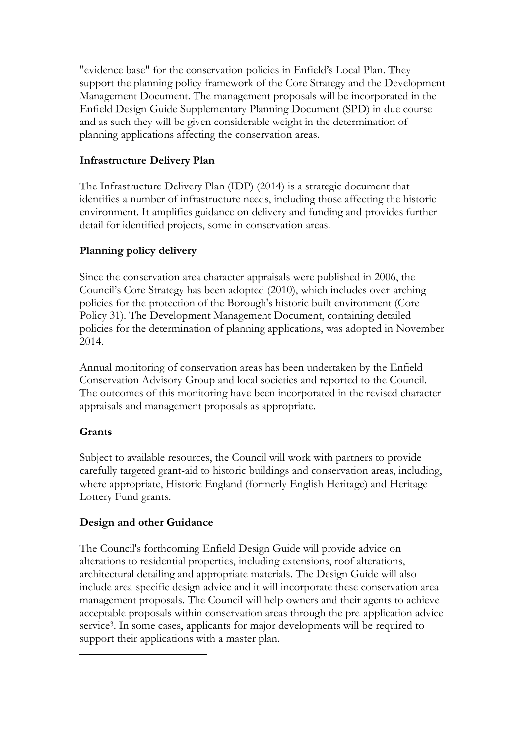"evidence base" for the conservation policies in Enfield's Local Plan. They support the planning policy framework of the Core Strategy and the Development Management Document. The management proposals will be incorporated in the Enfield Design Guide Supplementary Planning Document (SPD) in due course and as such they will be given considerable weight in the determination of planning applications affecting the conservation areas.

# **Infrastructure Delivery Plan**

The Infrastructure Delivery Plan (IDP) (2014) is a strategic document that identifies a number of infrastructure needs, including those affecting the historic environment. It amplifies guidance on delivery and funding and provides further detail for identified projects, some in conservation areas.

# **Planning policy delivery**

Since the conservation area character appraisals were published in 2006, the Council's Core Strategy has been adopted (2010), which includes over-arching policies for the protection of the Borough's historic built environment (Core Policy 31). The Development Management Document, containing detailed policies for the determination of planning applications, was adopted in November 2014.

Annual monitoring of conservation areas has been undertaken by the Enfield Conservation Advisory Group and local societies and reported to the Council. The outcomes of this monitoring have been incorporated in the revised character appraisals and management proposals as appropriate.

# **Grants**

Subject to available resources, the Council will work with partners to provide carefully targeted grant-aid to historic buildings and conservation areas, including, where appropriate, Historic England (formerly English Heritage) and Heritage Lottery Fund grants.

# **Design and other Guidance**

The Council's forthcoming Enfield Design Guide will provide advice on alterations to residential properties, including extensions, roof alterations, architectural detailing and appropriate materials. The Design Guide will also include area-specific design advice and it will incorporate these conservation area management proposals. The Council will help owners and their agents to achieve acceptable proposals within conservation areas through the pre-application advice service<sup>3</sup>. In some cases, applicants for major developments will be required to support their applications with a master plan.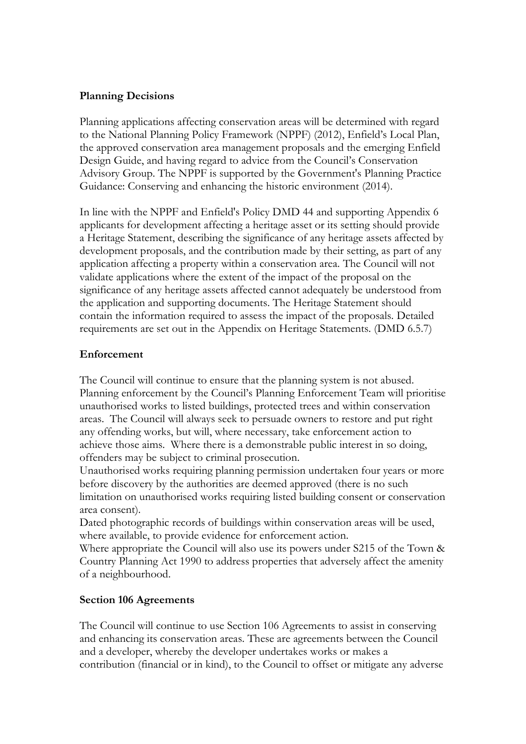## **Planning Decisions**

Planning applications affecting conservation areas will be determined with regard to the National Planning Policy Framework (NPPF) (2012), Enfield's Local Plan, the approved conservation area management proposals and the emerging Enfield Design Guide, and having regard to advice from the Council's Conservation Advisory Group. The NPPF is supported by the Government's Planning Practice Guidance: Conserving and enhancing the historic environment (2014).

In line with the NPPF and Enfield's Policy DMD 44 and supporting Appendix 6 applicants for development affecting a heritage asset or its setting should provide a Heritage Statement, describing the significance of any heritage assets affected by development proposals, and the contribution made by their setting, as part of any application affecting a property within a conservation area. The Council will not validate applications where the extent of the impact of the proposal on the significance of any heritage assets affected cannot adequately be understood from the application and supporting documents. The Heritage Statement should contain the information required to assess the impact of the proposals. Detailed requirements are set out in the Appendix on Heritage Statements. (DMD 6.5.7)

#### **Enforcement**

The Council will continue to ensure that the planning system is not abused. Planning enforcement by the Council's Planning Enforcement Team will prioritise unauthorised works to listed buildings, protected trees and within conservation areas. The Council will always seek to persuade owners to restore and put right any offending works, but will, where necessary, take enforcement action to achieve those aims. Where there is a demonstrable public interest in so doing, offenders may be subject to criminal prosecution.

Unauthorised works requiring planning permission undertaken four years or more before discovery by the authorities are deemed approved (there is no such limitation on unauthorised works requiring listed building consent or conservation area consent).

Dated photographic records of buildings within conservation areas will be used, where available, to provide evidence for enforcement action.

Where appropriate the Council will also use its powers under S215 of the Town & Country Planning Act 1990 to address properties that adversely affect the amenity of a neighbourhood.

#### **Section 106 Agreements**

The Council will continue to use Section 106 Agreements to assist in conserving and enhancing its conservation areas. These are agreements between the Council and a developer, whereby the developer undertakes works or makes a contribution (financial or in kind), to the Council to offset or mitigate any adverse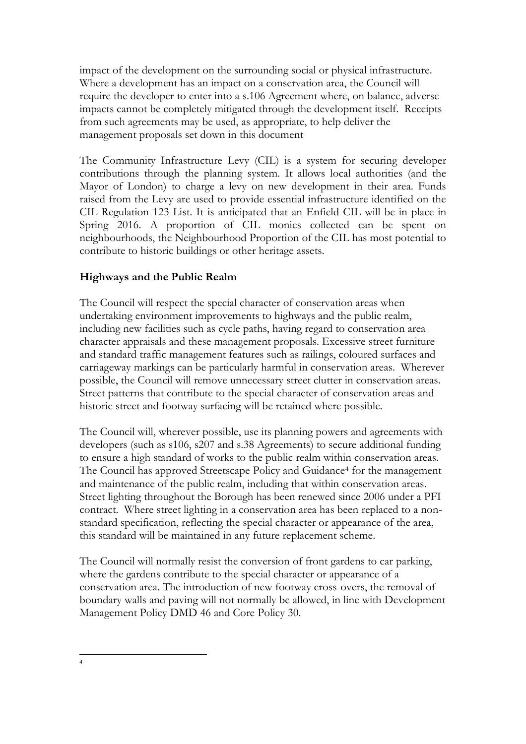impact of the development on the surrounding social or physical infrastructure. Where a development has an impact on a conservation area, the Council will require the developer to enter into a s.106 Agreement where, on balance, adverse impacts cannot be completely mitigated through the development itself. Receipts from such agreements may be used, as appropriate, to help deliver the management proposals set down in this document

The Community Infrastructure Levy (CIL) is a system for securing developer contributions through the planning system. It allows local authorities (and the Mayor of London) to charge a levy on new development in their area. Funds raised from the Levy are used to provide essential infrastructure identified on the CIL Regulation 123 List. It is anticipated that an Enfield CIL will be in place in Spring 2016. A proportion of CIL monies collected can be spent on neighbourhoods, the Neighbourhood Proportion of the CIL has most potential to contribute to historic buildings or other heritage assets.

# **Highways and the Public Realm**

The Council will respect the special character of conservation areas when undertaking environment improvements to highways and the public realm, including new facilities such as cycle paths, having regard to conservation area character appraisals and these management proposals. Excessive street furniture and standard traffic management features such as railings, coloured surfaces and carriageway markings can be particularly harmful in conservation areas. Wherever possible, the Council will remove unnecessary street clutter in conservation areas. Street patterns that contribute to the special character of conservation areas and historic street and footway surfacing will be retained where possible.

The Council will, wherever possible, use its planning powers and agreements with developers (such as s106, s207 and s.38 Agreements) to secure additional funding to ensure a high standard of works to the public realm within conservation areas. The Council has approved Streetscape Policy and Guidance<sup>4</sup> for the management and maintenance of the public realm, including that within conservation areas. Street lighting throughout the Borough has been renewed since 2006 under a PFI contract. Where street lighting in a conservation area has been replaced to a nonstandard specification, reflecting the special character or appearance of the area, this standard will be maintained in any future replacement scheme.

The Council will normally resist the conversion of front gardens to car parking, where the gardens contribute to the special character or appearance of a conservation area. The introduction of new footway cross-overs, the removal of boundary walls and paving will not normally be allowed, in line with Development Management Policy DMD 46 and Core Policy 30.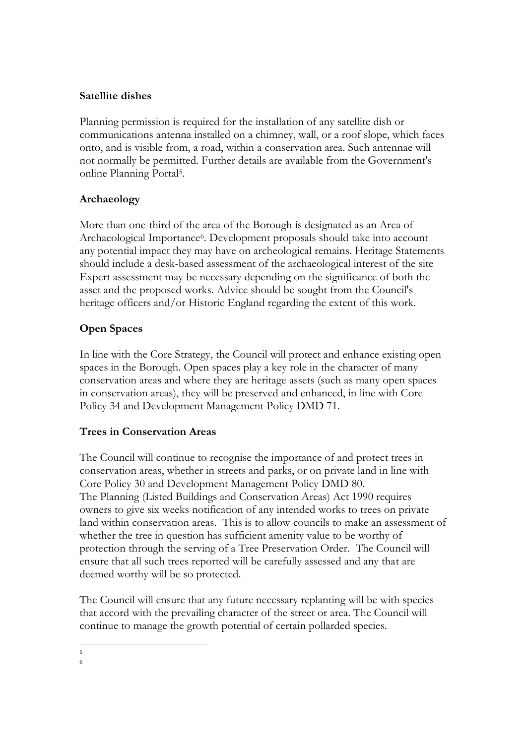## **Satellite dishes**

Planning permission is required for the installation of any satellite dish or communications antenna installed on a chimney, wall, or a roof slope, which faces onto, and is visible from, a road, within a conservation area. Such antennae will not normally be permitted. Further details are available from the Government's online Planning Portal<sup>5</sup> .

# **Archaeology**

More than one-third of the area of the Borough is designated as an Area of Archaeological Importance<sup>6</sup>. Development proposals should take into account any potential impact they may have on archeological remains. Heritage Statements should include a desk-based assessment of the archaeological interest of the site Expert assessment may be necessary depending on the significance of both the asset and the proposed works. Advice should be sought from the Council's heritage officers and/or Historic England regarding the extent of this work.

# **Open Spaces**

In line with the Core Strategy, the Council will protect and enhance existing open spaces in the Borough. Open spaces play a key role in the character of many conservation areas and where they are heritage assets (such as many open spaces in conservation areas), they will be preserved and enhanced, in line with Core Policy 34 and Development Management Policy DMD 71.

# **Trees in Conservation Areas**

The Council will continue to recognise the importance of and protect trees in conservation areas, whether in streets and parks, or on private land in line with Core Policy 30 and Development Management Policy DMD 80. The Planning (Listed Buildings and Conservation Areas) Act 1990 requires owners to give six weeks notification of any intended works to trees on private land within conservation areas. This is to allow councils to make an assessment of whether the tree in question has sufficient amenity value to be worthy of protection through the serving of a Tree Preservation Order. The Council will ensure that all such trees reported will be carefully assessed and any that are deemed worthy will be so protected.

The Council will ensure that any future necessary replanting will be with species that accord with the prevailing character of the street or area. The Council will continue to manage the growth potential of certain pollarded species.

<sup>5</sup> 6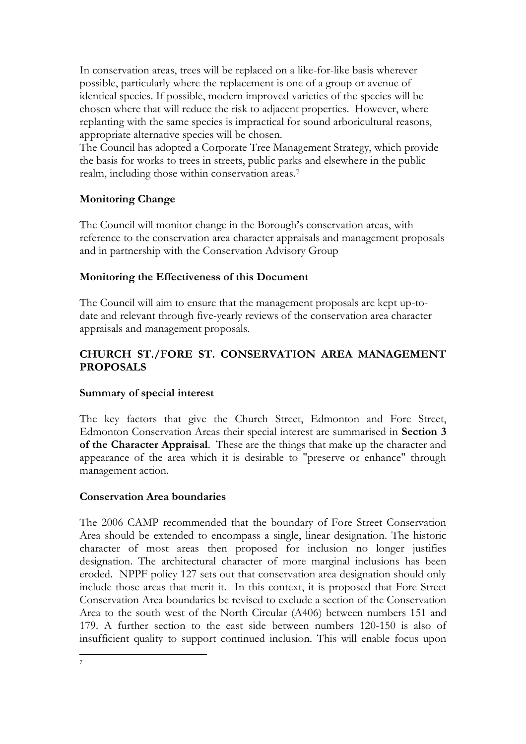In conservation areas, trees will be replaced on a like-for-like basis wherever possible, particularly where the replacement is one of a group or avenue of identical species. If possible, modern improved varieties of the species will be chosen where that will reduce the risk to adjacent properties. However, where replanting with the same species is impractical for sound arboricultural reasons, appropriate alternative species will be chosen.

The Council has adopted a Corporate Tree Management Strategy, which provide the basis for works to trees in streets, public parks and elsewhere in the public realm, including those within conservation areas.<sup>7</sup>

# **Monitoring Change**

The Council will monitor change in the Borough's conservation areas, with reference to the conservation area character appraisals and management proposals and in partnership with the Conservation Advisory Group

### **Monitoring the Effectiveness of this Document**

The Council will aim to ensure that the management proposals are kept up-todate and relevant through five-yearly reviews of the conservation area character appraisals and management proposals.

# **CHURCH ST./FORE ST. CONSERVATION AREA MANAGEMENT PROPOSALS**

#### **Summary of special interest**

The key factors that give the Church Street, Edmonton and Fore Street, Edmonton Conservation Areas their special interest are summarised in **Section 3 of the Character Appraisal**. These are the things that make up the character and appearance of the area which it is desirable to "preserve or enhance" through management action.

#### **Conservation Area boundaries**

The 2006 CAMP recommended that the boundary of Fore Street Conservation Area should be extended to encompass a single, linear designation. The historic character of most areas then proposed for inclusion no longer justifies designation. The architectural character of more marginal inclusions has been eroded. NPPF policy 127 sets out that conservation area designation should only include those areas that merit it. In this context, it is proposed that Fore Street Conservation Area boundaries be revised to exclude a section of the Conservation Area to the south west of the North Circular (A406) between numbers 151 and 179. A further section to the east side between numbers 120-150 is also of insufficient quality to support continued inclusion. This will enable focus upon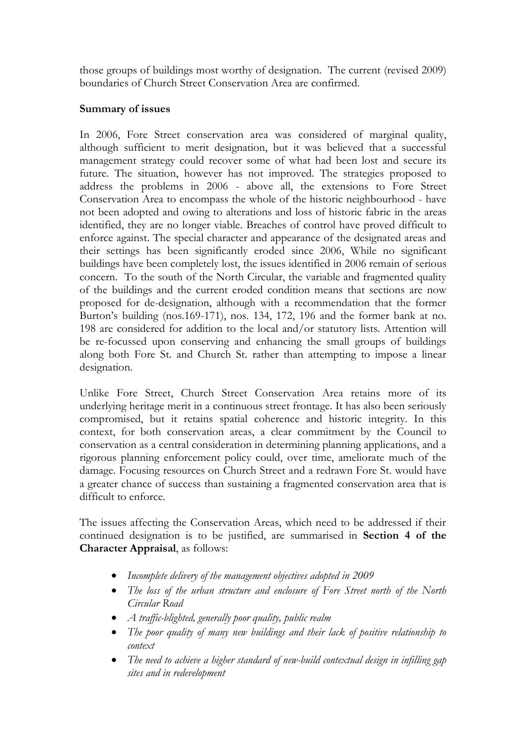those groups of buildings most worthy of designation. The current (revised 2009) boundaries of Church Street Conservation Area are confirmed.

### **Summary of issues**

In 2006, Fore Street conservation area was considered of marginal quality, although sufficient to merit designation, but it was believed that a successful management strategy could recover some of what had been lost and secure its future. The situation, however has not improved. The strategies proposed to address the problems in 2006 - above all, the extensions to Fore Street Conservation Area to encompass the whole of the historic neighbourhood - have not been adopted and owing to alterations and loss of historic fabric in the areas identified, they are no longer viable. Breaches of control have proved difficult to enforce against. The special character and appearance of the designated areas and their settings has been significantly eroded since 2006, While no significant buildings have been completely lost, the issues identified in 2006 remain of serious concern. To the south of the North Circular, the variable and fragmented quality of the buildings and the current eroded condition means that sections are now proposed for de-designation, although with a recommendation that the former Burton's building (nos.169-171), nos. 134, 172, 196 and the former bank at no. 198 are considered for addition to the local and/or statutory lists. Attention will be re-focussed upon conserving and enhancing the small groups of buildings along both Fore St. and Church St. rather than attempting to impose a linear designation.

Unlike Fore Street, Church Street Conservation Area retains more of its underlying heritage merit in a continuous street frontage. It has also been seriously compromised, but it retains spatial coherence and historic integrity. In this context, for both conservation areas, a clear commitment by the Council to conservation as a central consideration in determining planning applications, and a rigorous planning enforcement policy could, over time, ameliorate much of the damage. Focusing resources on Church Street and a redrawn Fore St. would have a greater chance of success than sustaining a fragmented conservation area that is difficult to enforce.

The issues affecting the Conservation Areas, which need to be addressed if their continued designation is to be justified, are summarised in **Section 4 of the Character Appraisal**, as follows:

- *Incomplete delivery of the management objectives adopted in 2009*
- *The loss of the urban structure and enclosure of Fore Street north of the North Circular Road*
- *A traffic-blighted, generally poor quality, public realm*
- *The poor quality of many new buildings and their lack of positive relationship to context*
- *The need to achieve a higher standard of new-build contextual design in infilling gap sites and in redevelopment*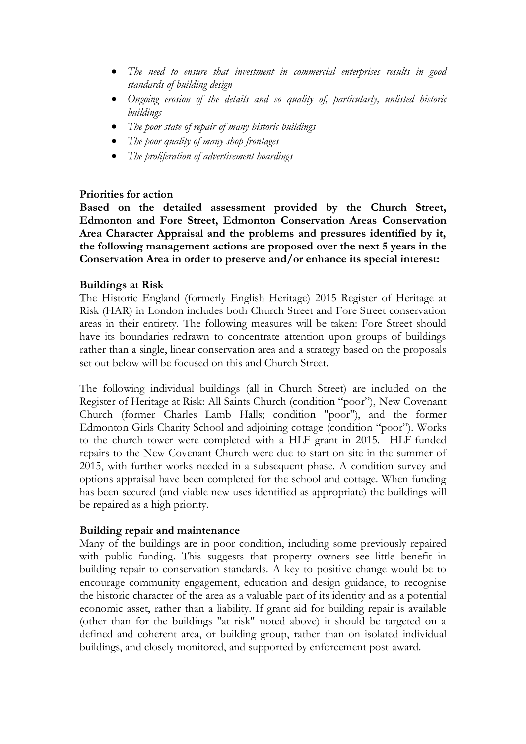- *The need to ensure that investment in commercial enterprises results in good standards of building design*
- *Ongoing erosion of the details and so quality of, particularly, unlisted historic buildings*
- *The poor state of repair of many historic buildings*
- *The poor quality of many shop frontages*
- *The proliferation of advertisement hoardings*

#### **Priorities for action**

**Based on the detailed assessment provided by the Church Street, Edmonton and Fore Street, Edmonton Conservation Areas Conservation Area Character Appraisal and the problems and pressures identified by it, the following management actions are proposed over the next 5 years in the Conservation Area in order to preserve and/or enhance its special interest:** 

#### **Buildings at Risk**

The Historic England (formerly English Heritage) 2015 Register of Heritage at Risk (HAR) in London includes both Church Street and Fore Street conservation areas in their entirety. The following measures will be taken: Fore Street should have its boundaries redrawn to concentrate attention upon groups of buildings rather than a single, linear conservation area and a strategy based on the proposals set out below will be focused on this and Church Street.

The following individual buildings (all in Church Street) are included on the Register of Heritage at Risk: All Saints Church (condition "poor"), New Covenant Church (former Charles Lamb Halls; condition "poor"), and the former Edmonton Girls Charity School and adjoining cottage (condition "poor"). Works to the church tower were completed with a HLF grant in 2015. HLF-funded repairs to the New Covenant Church were due to start on site in the summer of 2015, with further works needed in a subsequent phase. A condition survey and options appraisal have been completed for the school and cottage. When funding has been secured (and viable new uses identified as appropriate) the buildings will be repaired as a high priority.

#### **Building repair and maintenance**

Many of the buildings are in poor condition, including some previously repaired with public funding. This suggests that property owners see little benefit in building repair to conservation standards. A key to positive change would be to encourage community engagement, education and design guidance, to recognise the historic character of the area as a valuable part of its identity and as a potential economic asset, rather than a liability. If grant aid for building repair is available (other than for the buildings "at risk" noted above) it should be targeted on a defined and coherent area, or building group, rather than on isolated individual buildings, and closely monitored, and supported by enforcement post-award.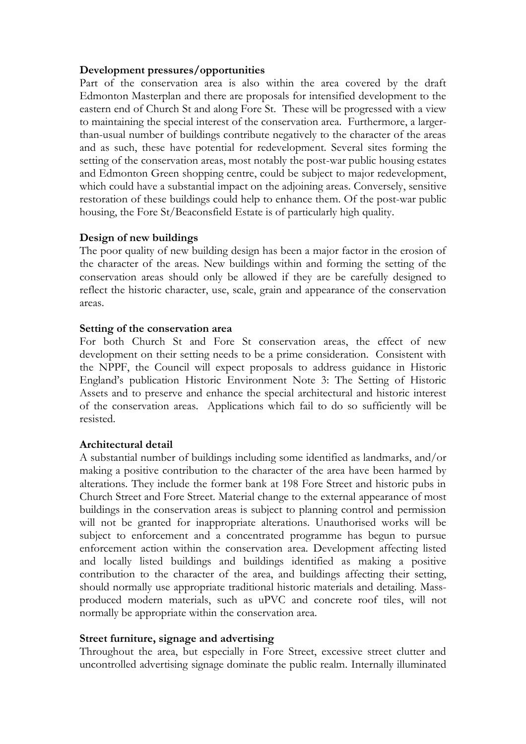#### **Development pressures/opportunities**

Part of the conservation area is also within the area covered by the draft Edmonton Masterplan and there are proposals for intensified development to the eastern end of Church St and along Fore St. These will be progressed with a view to maintaining the special interest of the conservation area. Furthermore, a largerthan-usual number of buildings contribute negatively to the character of the areas and as such, these have potential for redevelopment. Several sites forming the setting of the conservation areas, most notably the post-war public housing estates and Edmonton Green shopping centre, could be subject to major redevelopment, which could have a substantial impact on the adjoining areas. Conversely, sensitive restoration of these buildings could help to enhance them. Of the post-war public housing, the Fore St/Beaconsfield Estate is of particularly high quality.

#### **Design of new buildings**

The poor quality of new building design has been a major factor in the erosion of the character of the areas. New buildings within and forming the setting of the conservation areas should only be allowed if they are be carefully designed to reflect the historic character, use, scale, grain and appearance of the conservation areas.

#### **Setting of the conservation area**

For both Church St and Fore St conservation areas, the effect of new development on their setting needs to be a prime consideration. Consistent with the NPPF, the Council will expect proposals to address guidance in Historic England's publication Historic Environment Note 3: The Setting of Historic Assets and to preserve and enhance the special architectural and historic interest of the conservation areas. Applications which fail to do so sufficiently will be resisted.

#### **Architectural detail**

A substantial number of buildings including some identified as landmarks, and/or making a positive contribution to the character of the area have been harmed by alterations. They include the former bank at 198 Fore Street and historic pubs in Church Street and Fore Street. Material change to the external appearance of most buildings in the conservation areas is subject to planning control and permission will not be granted for inappropriate alterations. Unauthorised works will be subject to enforcement and a concentrated programme has begun to pursue enforcement action within the conservation area. Development affecting listed and locally listed buildings and buildings identified as making a positive contribution to the character of the area, and buildings affecting their setting, should normally use appropriate traditional historic materials and detailing. Massproduced modern materials, such as uPVC and concrete roof tiles, will not normally be appropriate within the conservation area.

#### **Street furniture, signage and advertising**

Throughout the area, but especially in Fore Street, excessive street clutter and uncontrolled advertising signage dominate the public realm. Internally illuminated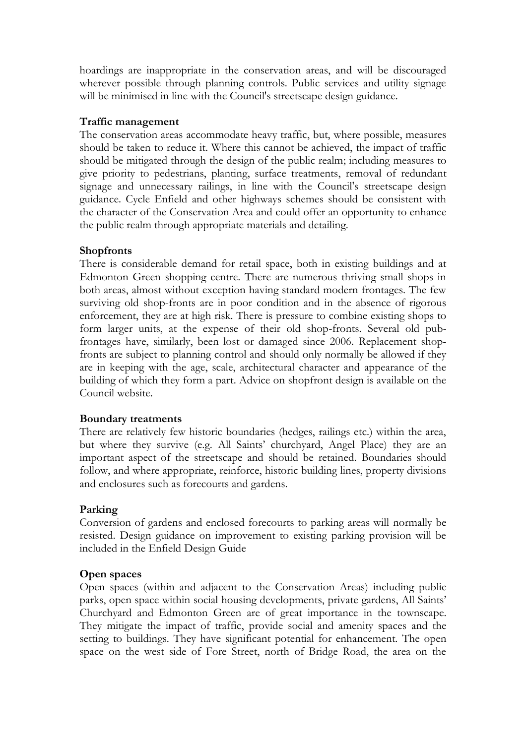hoardings are inappropriate in the conservation areas, and will be discouraged wherever possible through planning controls. Public services and utility signage will be minimised in line with the Council's streetscape design guidance.

#### **Traffic management**

The conservation areas accommodate heavy traffic, but, where possible, measures should be taken to reduce it. Where this cannot be achieved, the impact of traffic should be mitigated through the design of the public realm; including measures to give priority to pedestrians, planting, surface treatments, removal of redundant signage and unnecessary railings, in line with the Council's streetscape design guidance. Cycle Enfield and other highways schemes should be consistent with the character of the Conservation Area and could offer an opportunity to enhance the public realm through appropriate materials and detailing.

#### **Shopfronts**

There is considerable demand for retail space, both in existing buildings and at Edmonton Green shopping centre. There are numerous thriving small shops in both areas, almost without exception having standard modern frontages. The few surviving old shop-fronts are in poor condition and in the absence of rigorous enforcement, they are at high risk. There is pressure to combine existing shops to form larger units, at the expense of their old shop-fronts. Several old pubfrontages have, similarly, been lost or damaged since 2006. Replacement shopfronts are subject to planning control and should only normally be allowed if they are in keeping with the age, scale, architectural character and appearance of the building of which they form a part. Advice on shopfront design is available on the Council website.

#### **Boundary treatments**

There are relatively few historic boundaries (hedges, railings etc.) within the area, but where they survive (e.g. All Saints' churchyard, Angel Place) they are an important aspect of the streetscape and should be retained. Boundaries should follow, and where appropriate, reinforce, historic building lines, property divisions and enclosures such as forecourts and gardens.

#### **Parking**

Conversion of gardens and enclosed forecourts to parking areas will normally be resisted. Design guidance on improvement to existing parking provision will be included in the Enfield Design Guide

#### **Open spaces**

Open spaces (within and adjacent to the Conservation Areas) including public parks, open space within social housing developments, private gardens, All Saints' Churchyard and Edmonton Green are of great importance in the townscape. They mitigate the impact of traffic, provide social and amenity spaces and the setting to buildings. They have significant potential for enhancement. The open space on the west side of Fore Street, north of Bridge Road, the area on the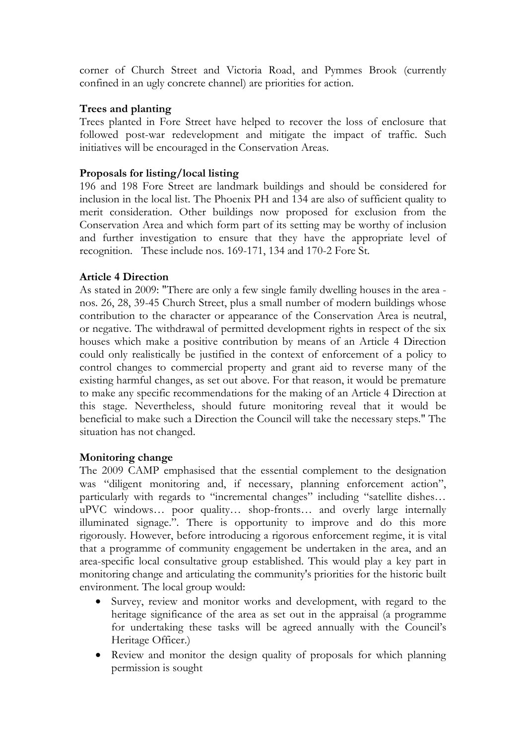corner of Church Street and Victoria Road, and Pymmes Brook (currently confined in an ugly concrete channel) are priorities for action.

### **Trees and planting**

Trees planted in Fore Street have helped to recover the loss of enclosure that followed post-war redevelopment and mitigate the impact of traffic. Such initiatives will be encouraged in the Conservation Areas.

## **Proposals for listing/local listing**

196 and 198 Fore Street are landmark buildings and should be considered for inclusion in the local list. The Phoenix PH and 134 are also of sufficient quality to merit consideration. Other buildings now proposed for exclusion from the Conservation Area and which form part of its setting may be worthy of inclusion and further investigation to ensure that they have the appropriate level of recognition. These include nos. 169-171, 134 and 170-2 Fore St.

### **Article 4 Direction**

As stated in 2009: "There are only a few single family dwelling houses in the area nos. 26, 28, 39-45 Church Street, plus a small number of modern buildings whose contribution to the character or appearance of the Conservation Area is neutral, or negative. The withdrawal of permitted development rights in respect of the six houses which make a positive contribution by means of an Article 4 Direction could only realistically be justified in the context of enforcement of a policy to control changes to commercial property and grant aid to reverse many of the existing harmful changes, as set out above. For that reason, it would be premature to make any specific recommendations for the making of an Article 4 Direction at this stage. Nevertheless, should future monitoring reveal that it would be beneficial to make such a Direction the Council will take the necessary steps." The situation has not changed.

#### **Monitoring change**

The 2009 CAMP emphasised that the essential complement to the designation was "diligent monitoring and, if necessary, planning enforcement action", particularly with regards to "incremental changes" including "satellite dishes... uPVC windows… poor quality… shop-fronts… and overly large internally illuminated signage.". There is opportunity to improve and do this more rigorously. However, before introducing a rigorous enforcement regime, it is vital that a programme of community engagement be undertaken in the area, and an area-specific local consultative group established. This would play a key part in monitoring change and articulating the community's priorities for the historic built environment. The local group would:

- Survey, review and monitor works and development, with regard to the heritage significance of the area as set out in the appraisal (a programme for undertaking these tasks will be agreed annually with the Council's Heritage Officer.)
- Review and monitor the design quality of proposals for which planning permission is sought